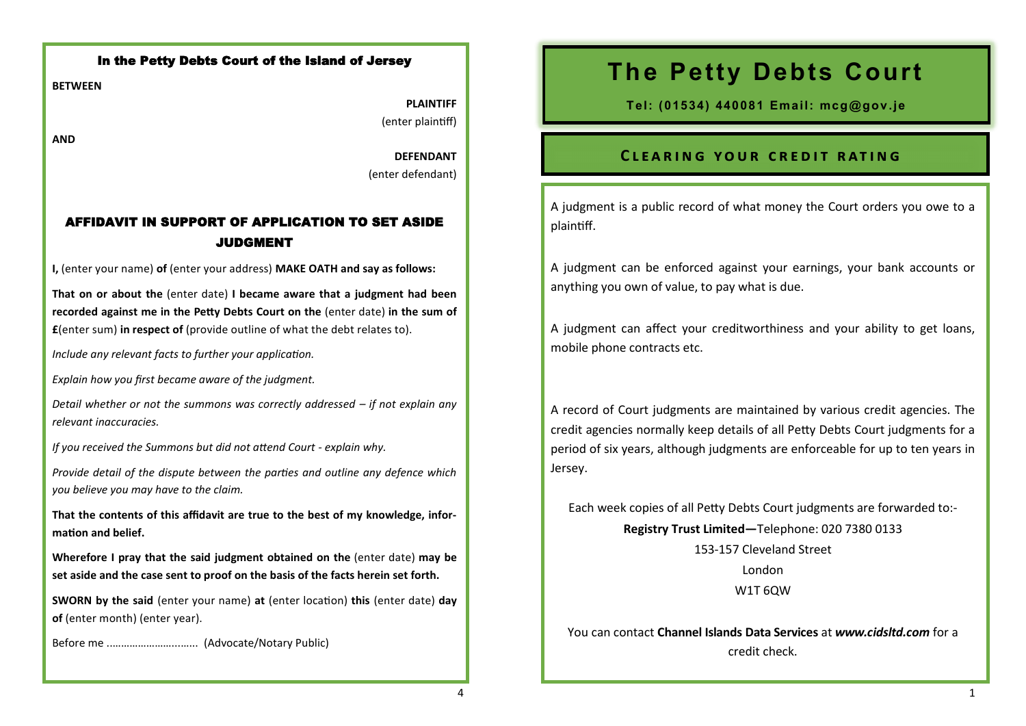## In the Petty Debts Court of the Island of Jersey

**BETWEEN**

**PLAINTIFF** (enter plaintiff)

**AND**

**DEFENDANT** (enter defendant)

# AFFIDAVIT IN SUPPORT OF APPLICATION TO SET ASIDE JUDGMENT

**I,** (enter your name) **of** (enter your address) **MAKE OATH and say as follows:**

**That on or about the** (enter date) **I became aware that a judgment had been recorded against me in the Petty Debts Court on the** (enter date) **in the sum of £**(enter sum) **in respect of** (provide outline of what the debt relates to).

*Include any relevant facts to further your application.*

*Explain how you first became aware of the judgment.* 

*Detail whether or not the summons was correctly addressed – if not explain any relevant inaccuracies.*

*If you received the Summons but did not attend Court - explain why.*

*Provide detail of the dispute between the parties and outline any defence which you believe you may have to the claim.*

**That the contents of this affidavit are true to the best of my knowledge, information and belief.**

**Wherefore I pray that the said judgment obtained on the** (enter date) **may be set aside and the case sent to proof on the basis of the facts herein set forth.**

**SWORN by the said** (enter your name) **at** (enter location) **this** (enter date) **day of** (enter month) (enter year).

Before me ..…………………...…... (Advocate/Notary Public)

# **The Petty Debts Court**

**Tel: (01534) 440081 Email: mcg@gov.je**

## CLEARING YOUR CREDIT RATING

A judgment is a public record of what money the Court orders you owe to a plaintiff.

A judgment can be enforced against your earnings, your bank accounts or anything you own of value, to pay what is due.

A judgment can affect your creditworthiness and your ability to get loans, mobile phone contracts etc.

A record of Court judgments are maintained by various credit agencies. The credit agencies normally keep details of all Petty Debts Court judgments for a period of six years, although judgments are enforceable for up to ten years in Jersey.

Each week copies of all Petty Debts Court judgments are forwarded to:- **Registry Trust Limited—**Telephone: 020 7380 0133 153-157 Cleveland Street London

W1T 6QW

You can contact **Channel Islands Data Services** at *www.cidsltd.com* for a credit check.